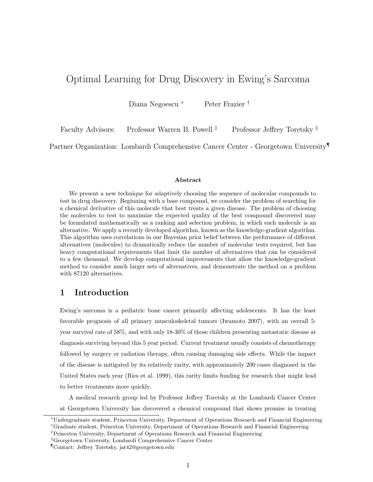# Optimal Learning for Drug Discovery in Ewing's Sarcoma

Diana Negoescu <sup>∗</sup> Peter Frazier †

Faculty Advisors: Professor Warren B. Powell<sup>‡</sup> Professor Jeffrey Toretsky<sup>§</sup>

Partner Organization: Lombardi Comprehensive Cancer Center - Georgetown University¶

### Abstract

We present a new technique for adaptively choosing the sequence of molecular compounds to test in drug discovery. Beginning with a base compound, we consider the problem of searching for a chemical derivative of this molecule that best treats a given disease. The problem of choosing the molecules to test to maximize the expected quality of the best compound discovered may be formulated mathematically as a ranking and selection problem, in which each molecule is an alternative. We apply a recently developed algorithm, known as the knowledge-gradient algorithm. This algorithm uses correlations in our Bayesian prior belief between the performance of different alternatives (molecules) to dramatically reduce the number of molecular tests required, but has heavy computational requirements that limit the number of alternatives that can be considered to a few thousand. We develop computational improvements that allow the knowledge-gradient method to consider much larger sets of alternatives, and demonstrate the method on a problem with 87120 alternatives.

# 1 Introduction

Ewing's sarcoma is a pediatric bone cancer primarily affecting adolescents. It has the least favorable prognosis of all primary musculoskeletal tumors [\(Iwamoto](#page-26-0) [2007\)](#page-26-0), with an overall 5 year survival rate of 58%, and with only 18-30% of those children presenting metastatic disease at diagnosis surviving beyond this 5 year period. Current treatment usually consists of chemotherapy followed by surgery or radiation therapy, often causing damaging side effects. While the impact of the disease is mitigated by its relatively rarity, with approximately 200 cases diagnosed in the United States each year [\(Ries et al.](#page-26-1) [1999\)](#page-26-1), this rarity limits funding for research that might lead to better treatments more quickly.

A medical research group led by Professor Jeffrey Toretsky at the Lombardi Cancer Center at Georgetown University has discovered a chemical compound that shows promise in treating

§Georgetown University, Lombardi Comprehensive Cancer Center

<sup>∗</sup>Undergraduate student, Princeton University, Department of Operations Research and Financial Engineering †Graduate student, Princeton University, Department of Operations Research and Financial Engineering

<sup>‡</sup>Princeton University, Department of Operations Research and Financial Engineering

<sup>¶</sup>Contact: Jeffrey Toretsky, jat42@georgetown.edu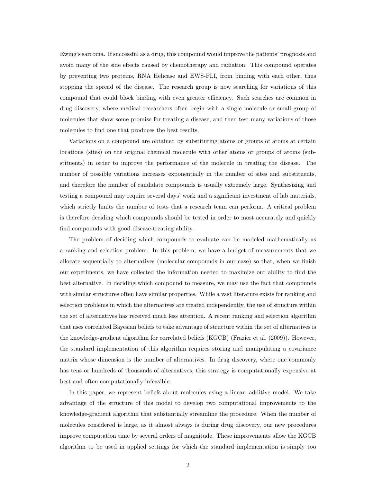Ewing's sarcoma. If successful as a drug, this compound would improve the patients' prognosis and avoid many of the side effects caused by chemotherapy and radiation. This compound operates by preventing two proteins, RNA Helicase and EWS-FLI, from binding with each other, thus stopping the spread of the disease. The research group is now searching for variations of this compound that could block binding with even greater efficiency. Such searches are common in drug discovery, where medical researchers often begin with a single molecule or small group of molecules that show some promise for treating a disease, and then test many variations of those molecules to find one that produces the best results.

Variations on a compound are obtained by substituting atoms or groups of atoms at certain locations (sites) on the original chemical molecule with other atoms or groups of atoms (substituents) in order to improve the performance of the molecule in treating the disease. The number of possible variations increases exponentially in the number of sites and substituents, and therefore the number of candidate compounds is usually extremely large. Synthesizing and testing a compound may require several days' work and a significant investment of lab materials, which strictly limits the number of tests that a research team can perform. A critical problem is therefore deciding which compounds should be tested in order to most accurately and quickly find compounds with good disease-treating ability.

The problem of deciding which compounds to evaluate can be modeled mathematically as a ranking and selection problem. In this problem, we have a budget of measurements that we allocate sequentially to alternatives (molecular compounds in our case) so that, when we finish our experiments, we have collected the information needed to maximize our ability to find the best alternative. In deciding which compound to measure, we may use the fact that compounds with similar structures often have similar properties. While a vast literature exists for ranking and selection problems in which the alternatives are treated independently, the use of structure within the set of alternatives has received much less attention. A recent ranking and selection algorithm that uses correlated Bayesian beliefs to take advantage of structure within the set of alternatives is the knowledge-gradient algorithm for correlated beliefs (KGCB) [\(Frazier et al.](#page-26-2) [\(2009\)](#page-26-2)). However, the standard implementation of this algorithm requires storing and manipulating a covariance matrix whose dimension is the number of alternatives. In drug discovery, where one commonly has tens or hundreds of thousands of alternatives, this strategy is computationally expensive at best and often computationally infeasible.

In this paper, we represent beliefs about molecules using a linear, additive model. We take advantage of the structure of this model to develop two computational improvements to the knowledge-gradient algorithm that substantially streamline the procedure. When the number of molecules considered is large, as it almost always is during drug discovery, our new procedures improve computation time by several orders of magnitude. These improvements allow the KGCB algorithm to be used in applied settings for which the standard implementation is simply too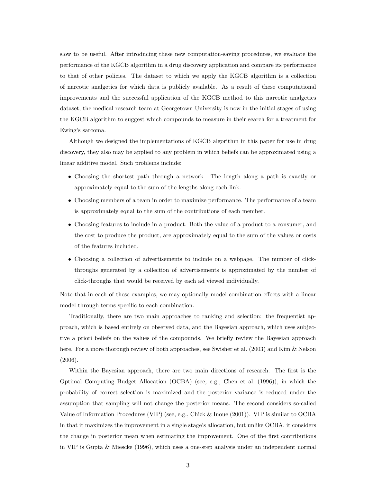slow to be useful. After introducing these new computation-saving procedures, we evaluate the performance of the KGCB algorithm in a drug discovery application and compare its performance to that of other policies. The dataset to which we apply the KGCB algorithm is a collection of narcotic analgetics for which data is publicly available. As a result of these computational improvements and the successful application of the KGCB method to this narcotic analgetics dataset, the medical research team at Georgetown University is now in the initial stages of using the KGCB algorithm to suggest which compounds to measure in their search for a treatment for Ewing's sarcoma.

Although we designed the implementations of KGCB algorithm in this paper for use in drug discovery, they also may be applied to any problem in which beliefs can be approximated using a linear additive model. Such problems include:

- Choosing the shortest path through a network. The length along a path is exactly or approximately equal to the sum of the lengths along each link.
- Choosing members of a team in order to maximize performance. The performance of a team is approximately equal to the sum of the contributions of each member.
- Choosing features to include in a product. Both the value of a product to a consumer, and the cost to produce the product, are approximately equal to the sum of the values or costs of the features included.
- Choosing a collection of advertisements to include on a webpage. The number of clickthroughs generated by a collection of advertisements is approximated by the number of click-throughs that would be received by each ad viewed individually.

Note that in each of these examples, we may optionally model combination effects with a linear model through terms specific to each combination.

Traditionally, there are two main approaches to ranking and selection: the frequentist approach, which is based entirely on observed data, and the Bayesian approach, which uses subjective a priori beliefs on the values of the compounds. We briefly review the Bayesian approach here. For a more thorough review of both approaches, see [Swisher et al.](#page-26-3) [\(2003\)](#page-26-3) and [Kim & Nelson](#page-26-4) [\(2006\)](#page-26-4).

Within the Bayesian approach, there are two main directions of research. The first is the Optimal Computing Budget Allocation (OCBA) (see, e.g., [Chen et al.](#page-25-0) [\(1996\)](#page-25-0)), in which the probability of correct selection is maximized and the posterior variance is reduced under the assumption that sampling will not change the posterior means. The second considers so-called Value of Information Procedures (VIP) (see, e.g., [Chick & Inoue](#page-26-5) [\(2001\)](#page-26-5)). VIP is similar to OCBA in that it maximizes the improvement in a single stage's allocation, but unlike OCBA, it considers the change in posterior mean when estimating the improvement. One of the first contributions in VIP is [Gupta & Miescke](#page-26-6) [\(1996\)](#page-26-6), which uses a one-step analysis under an independent normal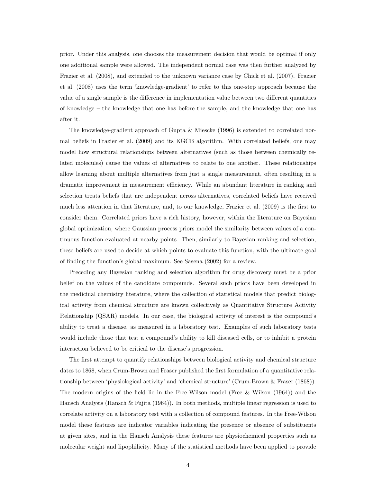prior. Under this analysis, one chooses the measurement decision that would be optimal if only one additional sample were allowed. The independent normal case was then further analyzed by [Frazier et al.](#page-26-7) [\(2008\)](#page-26-7), and extended to the unknown variance case by [Chick et al.](#page-26-8) [\(2007\)](#page-26-8). [Frazier](#page-26-7) [et al.](#page-26-7) [\(2008\)](#page-26-7) uses the term 'knowledge-gradient' to refer to this one-step approach because the value of a single sample is the difference in implementation value between two different quantities of knowledge – the knowledge that one has before the sample, and the knowledge that one has after it.

The knowledge-gradient approach of [Gupta & Miescke](#page-26-6) [\(1996\)](#page-26-6) is extended to correlated normal beliefs in [Frazier et al.](#page-26-2) [\(2009\)](#page-26-2) and its KGCB algorithm. With correlated beliefs, one may model how structural relationships between alternatives (such as those between chemically related molecules) cause the values of alternatives to relate to one another. These relationships allow learning about multiple alternatives from just a single measurement, often resulting in a dramatic improvement in measurement efficiency. While an abundant literature in ranking and selection treats beliefs that are independent across alternatives, correlated beliefs have received much less attention in that literature, and, to our knowledge, [Frazier et al.](#page-26-2) [\(2009\)](#page-26-2) is the first to consider them. Correlated priors have a rich history, however, within the literature on Bayesian global optimization, where Gaussian process priors model the similarity between values of a continuous function evaluated at nearby points. Then, similarly to Bayesian ranking and selection, these beliefs are used to decide at which points to evaluate this function, with the ultimate goal of finding the function's global maximum. See [Sasena](#page-26-9) [\(2002\)](#page-26-9) for a review.

Preceding any Bayesian ranking and selection algorithm for drug discovery must be a prior belief on the values of the candidate compounds. Several such priors have been developed in the medicinal chemistry literature, where the collection of statistical models that predict biological activity from chemical structure are known collectively as Quantitative Structure Activity Relationship (QSAR) models. In our case, the biological activity of interest is the compound's ability to treat a disease, as measured in a laboratory test. Examples of such laboratory tests would include those that test a compound's ability to kill diseased cells, or to inhibit a protein interaction believed to be critical to the disease's progression.

The first attempt to quantify relationships between biological activity and chemical structure dates to 1868, when Crum-Brown and Fraser published the first formulation of a quantitative relationship between 'physiological activity' and 'chemical structure' [\(Crum-Brown & Fraser](#page-26-10) [\(1868\)](#page-26-10)). The modern origins of the field lie in the Free-Wilson model [\(Free & Wilson](#page-26-11) [\(1964\)](#page-26-11)) and the Hansch Analysis [\(Hansch & Fujita](#page-26-12) [\(1964\)](#page-26-12)). In both methods, multiple linear regression is used to correlate activity on a laboratory test with a collection of compound features. In the Free-Wilson model these features are indicator variables indicating the presence or absence of substituents at given sites, and in the Hansch Analysis these features are physiochemical properties such as molecular weight and lipophilicity. Many of the statistical methods have been applied to provide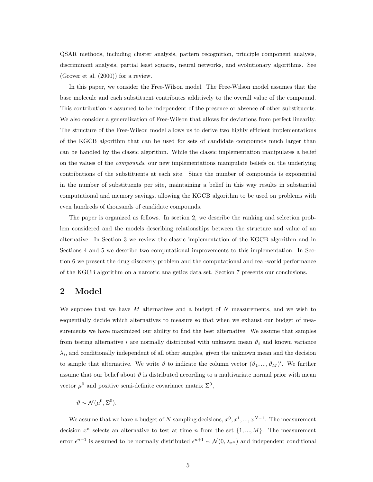QSAR methods, including cluster analysis, pattern recognition, principle component analysis, discriminant analysis, partial least squares, neural networks, and evolutionary algorithms. See [\(Grover et al.](#page-26-13) [\(2000\)](#page-26-13)) for a review.

In this paper, we consider the Free-Wilson model. The Free-Wilson model assumes that the base molecule and each substituent contributes additively to the overall value of the compound. This contribution is assumed to be independent of the presence or absence of other substituents. We also consider a generalization of Free-Wilson that allows for deviations from perfect linearity. The structure of the Free-Wilson model allows us to derive two highly efficient implementations of the KGCB algorithm that can be used for sets of candidate compounds much larger than can be handled by the classic algorithm. While the classic implementation manipulates a belief on the values of the compounds, our new implementations manipulate beliefs on the underlying contributions of the substituents at each site. Since the number of compounds is exponential in the number of substituents per site, maintaining a belief in this way results in substantial computational and memory savings, allowing the KGCB algorithm to be used on problems with even hundreds of thousands of candidate compounds.

The paper is organized as follows. In section [2,](#page-4-0) we describe the ranking and selection problem considered and the models describing relationships between the structure and value of an alternative. In Section [3](#page-7-0) we review the classic implementation of the KGCB algorithm and in Sections [4](#page-10-0) and [5](#page-15-0) we describe two computational improvements to this implementation. In Section [6](#page-17-0) we present the drug discovery problem and the computational and real-world performance of the KGCB algorithm on a narcotic analgetics data set. Section [7](#page-25-1) presents our conclusions.

# <span id="page-4-0"></span>2 Model

We suppose that we have  $M$  alternatives and a budget of  $N$  measurements, and we wish to sequentially decide which alternatives to measure so that when we exhaust our budget of measurements we have maximized our ability to find the best alternative. We assume that samples from testing alternative i are normally distributed with unknown mean  $\vartheta_i$  and known variance  $\lambda_i$ , and conditionally independent of all other samples, given the unknown mean and the decision to sample that alternative. We write  $\vartheta$  to indicate the column vector  $(\vartheta_1, ..., \vartheta_M)'$ . We further assume that our belief about  $\vartheta$  is distributed according to a multivariate normal prior with mean vector  $\mu^0$  and positive semi-definite covariance matrix  $\Sigma^0$ ,

 $\vartheta \sim \mathcal{N}(\mu^0, \Sigma^0).$ 

We assume that we have a budget of N sampling decisions,  $x^0, x^1, ..., x^{N-1}$ . The measurement decision  $x^n$  selects an alternative to test at time n from the set  $\{1, ..., M\}$ . The measurement error  $\epsilon^{n+1}$  is assumed to be normally distributed  $\epsilon^{n+1} \sim \mathcal{N}(0, \lambda_{x_n})$  and independent conditional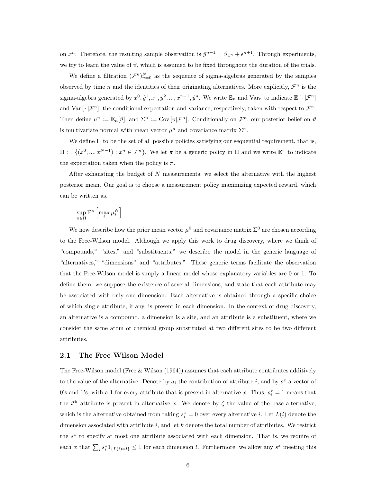on  $x^n$ . Therefore, the resulting sample observation is  $\hat{y}^{n+1} = \vartheta_{x^n} + \epsilon^{n+1}$ . Through experiments, we try to learn the value of  $\vartheta$ , which is assumed to be fixed throughout the duration of the trials.

We define a filtration  $(\mathcal{F}^n)_{n=0}^N$  as the sequence of sigma-algebras generated by the samples observed by time n and the identities of their originating alternatives. More explicitly,  $\mathcal{F}^n$  is the sigma-algebra generated by  $x^0, \hat{y}^1, x^1, \hat{y}^2, ..., x^{n-1}, \hat{y}^n$ . We write  $\mathbb{E}_n$  and  $\text{Var}_n$  to indicate  $\mathbb{E}[\cdot | \mathcal{F}^n]$ and Var  $[\cdot|\mathcal{F}^n]$ , the conditional expectation and variance, respectively, taken with respect to  $\mathcal{F}^n$ . Then define  $\mu^n := \mathbb{E}_n[\vartheta]$ , and  $\Sigma^n := \text{Cov}[\vartheta | \mathcal{F}^n]$ . Conditionally on  $\mathcal{F}^n$ , our posterior belief on  $\vartheta$ is multivariate normal with mean vector  $\mu^n$  and covariance matrix  $\Sigma^n$ .

We define Π to be the set of all possible policies satisfying our sequential requirement, that is,  $\Pi := \{(x^0, ..., x^{N-1}) : x^n \in \mathcal{F}^n\}.$  We let  $\pi$  be a generic policy in  $\Pi$  and we write  $\mathbb{E}^{\pi}$  to indicate the expectation taken when the policy is  $\pi$ .

After exhausting the budget of  $N$  measurements, we select the alternative with the highest posterior mean. Our goal is to choose a measurement policy maximizing expected reward, which can be written as,

$$
\sup_{\pi \in \Pi} \mathbb{E}^{\pi} \left[ \max_{i} \mu_i^N \right].
$$

We now describe how the prior mean vector  $\mu^0$  and covariance matrix  $\Sigma^0$  are chosen according to the Free-Wilson model. Although we apply this work to drug discovery, where we think of "compounds," "sites," and "substituents," we describe the model in the generic language of "alternatives," "dimensions" and "attributes." These generic terms facilitate the observation that the Free-Wilson model is simply a linear model whose explanatory variables are 0 or 1. To define them, we suppose the existence of several dimensions, and state that each attribute may be associated with only one dimension. Each alternative is obtained through a specific choice of which single attribute, if any, is present in each dimension. In the context of drug discovery, an alternative is a compound, a dimension is a site, and an attribute is a substituent, where we consider the same atom or chemical group substituted at two different sites to be two different attributes.

#### <span id="page-5-0"></span>2.1 The Free-Wilson Model

The Free-Wilson model [\(Free & Wilson](#page-26-11) [\(1964\)](#page-26-11)) assumes that each attribute contributes additively to the value of the alternative. Denote by  $a_i$  the contribution of attribute i, and by  $s^x$  a vector of 0's and 1's, with a 1 for every attribute that is present in alternative x. Thus,  $s_i^x = 1$  means that the i<sup>th</sup> attribute is present in alternative x. We denote by  $\zeta$  the value of the base alternative, which is the alternative obtained from taking  $s_i^x = 0$  over every alternative *i*. Let  $L(i)$  denote the dimension associated with attribute  $i$ , and let  $k$  denote the total number of attributes. We restrict the  $s<sup>x</sup>$  to specify at most one attribute associated with each dimension. That is, we require of each x that  $\sum_i s_i^x 1_{\{L(i)=l\}} \leq 1$  for each dimension l. Furthermore, we allow any  $s^x$  meeting this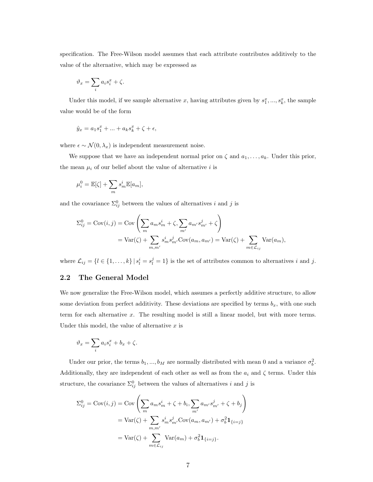specification. The Free-Wilson model assumes that each attribute contributes additively to the value of the alternative, which may be expressed as

$$
\vartheta_x = \sum_i a_i s_i^x + \zeta.
$$

Under this model, if we sample alternative x, having attributes given by  $s_1^x, ..., s_k^x$ , the sample value would be of the form

$$
\hat{y}_x = a_1 s_1^x + \dots + a_k s_k^x + \zeta + \epsilon,
$$

where  $\epsilon \sim \mathcal{N}(0, \lambda_x)$  is independent measurement noise.

We suppose that we have an independent normal prior on  $\zeta$  and  $a_1, \ldots, a_k$ . Under this prior, the mean  $\mu_i$  of our belief about the value of alternative i is

$$
\mu_i^0 = \mathbb{E}[\zeta] + \sum_m s_m^i \mathbb{E}[a_m],
$$

and the covariance  $\Sigma_{ij}^0$  between the values of alternatives i and j is

$$
\Sigma_{ij}^0 = \text{Cov}(i, j) = \text{Cov}\left(\sum_m a_m s_m^i + \zeta, \sum_{m'} a_{m'} s_{m'}^j + \zeta\right)
$$
  
= 
$$
\text{Var}(\zeta) + \sum_{m,m'} s_m^i s_{m'}^j \text{Cov}(a_m, a_{m'}) = \text{Var}(\zeta) + \sum_{m \in \mathcal{L}_{ij}} \text{Var}(a_m),
$$

where  $\mathcal{L}_{ij} = \{l \in \{1, ..., k\} | s_l^i = s_l^j = 1\}$  is the set of attributes common to alternatives i and j.

### <span id="page-6-0"></span>2.2 The General Model

We now generalize the Free-Wilson model, which assumes a perfectly additive structure, to allow some deviation from perfect additivity. These deviations are specified by terms  $b_x$ , with one such term for each alternative x. The resulting model is still a linear model, but with more terms. Under this model, the value of alternative  $x$  is

$$
\vartheta_x = \sum_i a_i s_i^x + b_x + \zeta.
$$

Under our prior, the terms  $b_1, ..., b_M$  are normally distributed with mean 0 and a variance  $\sigma_b^2$ . Additionally, they are independent of each other as well as from the  $a_i$  and  $\zeta$  terms. Under this structure, the covariance  $\Sigma_{ij}^0$  between the values of alternatives i and j is

$$
\Sigma_{ij}^0 = \text{Cov}(i, j) = \text{Cov}\left(\sum_m a_m s_m^i + \zeta + b_i, \sum_{m'} a_{m'} s_{m'}^j + \zeta + b_j\right)
$$

$$
= \text{Var}(\zeta) + \sum_{m,m'} s_m^i s_{m'}^j \text{Cov}(a_m, a_{m'}) + \sigma_b^2 \mathbf{1}_{\{i=j\}}
$$

$$
= \text{Var}(\zeta) + \sum_{m \in \mathcal{L}_{ij}} \text{Var}(a_m) + \sigma_b^2 \mathbf{1}_{\{i=j\}}.
$$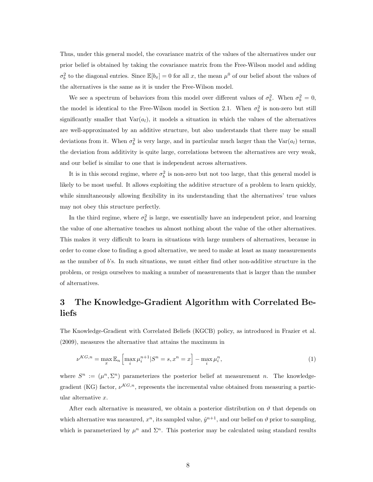Thus, under this general model, the covariance matrix of the values of the alternatives under our prior belief is obtained by taking the covariance matrix from the Free-Wilson model and adding  $\sigma_b^2$  to the diagonal entries. Since  $\mathbb{E}[b_x] = 0$  for all x, the mean  $\mu^0$  of our belief about the values of the alternatives is the same as it is under the Free-Wilson model.

We see a spectrum of behaviors from this model over different values of  $\sigma_b^2$ . When  $\sigma_b^2 = 0$ , the model is identical to the Free-Wilson model in Section [2.1.](#page-5-0) When  $\sigma_b^2$  is non-zero but still significantly smaller that  $Var(a_l)$ , it models a situation in which the values of the alternatives are well-approximated by an additive structure, but also understands that there may be small deviations from it. When  $\sigma_b^2$  is very large, and in particular much larger than the Var $(a_l)$  terms, the deviation from additivity is quite large, correlations between the alternatives are very weak, and our belief is similar to one that is independent across alternatives.

It is in this second regime, where  $\sigma_b^2$  is non-zero but not too large, that this general model is likely to be most useful. It allows exploiting the additive structure of a problem to learn quickly, while simultaneously allowing flexibility in its understanding that the alternatives' true values may not obey this structure perfectly.

In the third regime, where  $\sigma_b^2$  is large, we essentially have an independent prior, and learning the value of one alternative teaches us almost nothing about the value of the other alternatives. This makes it very difficult to learn in situations with large numbers of alternatives, because in order to come close to finding a good alternative, we need to make at least as many measurements as the number of b's. In such situations, we must either find other non-additive structure in the problem, or resign ourselves to making a number of measurements that is larger than the number of alternatives.

# <span id="page-7-0"></span>3 The Knowledge-Gradient Algorithm with Correlated Beliefs

The Knowledge-Gradient with Correlated Beliefs (KGCB) policy, as introduced in [Frazier et al.](#page-26-2) [\(2009\)](#page-26-2), measures the alternative that attains the maximum in

<span id="page-7-1"></span>
$$
\nu^{KG,n} = \max_{x} \mathbb{E}_n \left[ \max_i \mu_i^{n+1} | S^n = s, x^n = x \right] - \max_i \mu_i^n,
$$
\n(1)

where  $S^n := (\mu^n, \Sigma^n)$  parameterizes the posterior belief at measurement n. The knowledgegradient (KG) factor,  $\nu^{KG,n}$ , represents the incremental value obtained from measuring a particular alternative x.

After each alternative is measured, we obtain a posterior distribution on  $\vartheta$  that depends on which alternative was measured,  $x^n$ , its sampled value,  $\hat{y}^{n+1}$ , and our belief on  $\vartheta$  prior to sampling, which is parameterized by  $\mu^n$  and  $\Sigma^n$ . This posterior may be calculated using standard results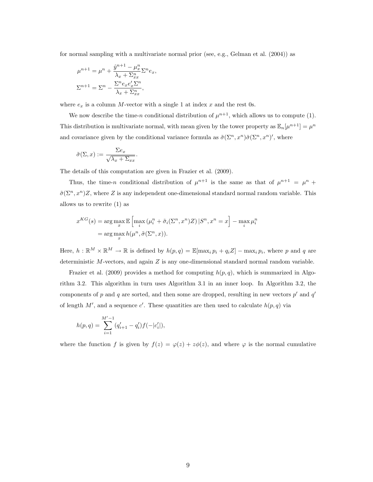for normal sampling with a multivariate normal prior (see, e.g., [Gelman et al.](#page-26-14) [\(2004\)](#page-26-14)) as

$$
\mu^{n+1} = \mu^n + \frac{\hat{y}^{n+1} - \mu_x^n}{\lambda_x + \Sigma_{xx}^n} \Sigma^n e_x,
$$
  

$$
\Sigma^{n+1} = \Sigma^n - \frac{\Sigma^n e_x e_x' \Sigma^n}{\lambda_x + \Sigma_{xx}^n},
$$

where  $e_x$  is a column M-vector with a single 1 at index x and the rest 0s.

We now describe the time-n conditional distribution of  $\mu^{n+1}$ , which allows us to compute [\(1\)](#page-7-1). This distribution is multivariate normal, with mean given by the tower property as  $\mathbb{E}_n[\mu^{n+1}] = \mu^n$ and covariance given by the conditional variance formula as  $\tilde{\sigma}(\Sigma^n, x^n)\tilde{\sigma}(\Sigma^n, x^n)'$ , where

$$
\tilde{\sigma}(\Sigma, x) := \frac{\Sigma e_x}{\sqrt{\lambda_x + \Sigma_{xx}}}.
$$

The details of this computation are given in [Frazier et al.](#page-26-2) [\(2009\)](#page-26-2).

Thus, the time-n conditional distribution of  $\mu^{n+1}$  is the same as that of  $\mu^{n+1} = \mu^n +$  $\tilde{\sigma}(\Sigma^n, x^n)Z$ , where Z is any independent one-dimensional standard normal random variable. This allows us to rewrite [\(1\)](#page-7-1) as

$$
x^{KG}(s) = \arg\max_{x} \mathbb{E}\left[\max_{i} (\mu_i^n + \tilde{\sigma}_i(\Sigma^n, x^n)Z) | S^n, x^n = x\right] - \max_{i} \mu_i^n
$$

$$
= \arg\max_{x} h(\mu^n, \tilde{\sigma}(\Sigma^n, x)).
$$

Here,  $h: \mathbb{R}^M \times \mathbb{R}^M \to \mathbb{R}$  is defined by  $h(p,q) = \mathbb{E}[\max_i p_i + q_i Z] - \max_i p_i$ , where p and q are deterministic M-vectors, and again Z is any one-dimensional standard normal random variable.

[Frazier et al.](#page-26-2) [\(2009\)](#page-26-2) provides a method for computing  $h(p, q)$ , which is summarized in Algorithm [3.2.](#page-9-0) This algorithm in turn uses Algorithm [3.1](#page-9-1) in an inner loop. In Algorithm [3.2,](#page-9-0) the components of p and q are sorted, and then some are dropped, resulting in new vectors  $p'$  and  $q'$ of length M', and a sequence c'. These quantities are then used to calculate  $h(p,q)$  via

$$
h(p,q) = \sum_{i=1}^{M'-1} (q'_{i+1} - q'_i) f(-|c'_i|),
$$

where the function f is given by  $f(z) = \varphi(z) + z\phi(z)$ , and where  $\varphi$  is the normal cumulative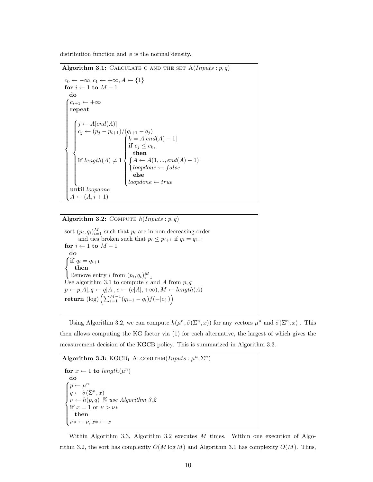<span id="page-9-1"></span>distribution function and  $\phi$  is the normal density.

Algorithm 3.1: CALCULATE C AND THE SET  $A(InputStream, q)$  $c_0 \leftarrow -\infty, c_1 \leftarrow +\infty, A \leftarrow \{1\}$ for  $i \leftarrow 1$  to  $M-1$  $c_{i+1} \leftarrow +\infty$ do  $\begin{array}{c} \hline \end{array}$  $\begin{array}{c} \hline \rule{0pt}{2.2ex} \rule{0pt}{2.2ex} \rule{0pt}{2.2ex} \rule{0pt}{2.2ex} \rule{0pt}{2.2ex} \rule{0pt}{2.2ex} \rule{0pt}{2.2ex} \rule{0pt}{2.2ex} \rule{0pt}{2.2ex} \rule{0pt}{2.2ex} \rule{0pt}{2.2ex} \rule{0pt}{2.2ex} \rule{0pt}{2.2ex} \rule{0pt}{2.2ex} \rule{0pt}{2.2ex} \rule{0pt}{2.2ex} \rule{0pt}{2.2ex} \rule{0pt}{2.2ex} \rule{0pt}{2.2ex} \$ repeat  $\sqrt{ }$  $\begin{array}{c} \hline \end{array}$  $\begin{array}{c} \hline \end{array}$  $j \leftarrow A[end(A)]$  $c_j \leftarrow (p_j - p_{i+1})/(q_{i+1} - q_j)$ if  $length(A) \neq 1$  $\sqrt{ }$  $\int$  $\overline{\mathcal{L}}$  $k = A[end(A) - 1]$ if  $c_j \leq c_k$ , then  $A \leftarrow A(1, ..., end(A) - 1)$  $loop done \leftarrow false$ else  $loop done \leftarrow true$ until loopdone  $A \leftarrow (A, i + 1)$ 

<span id="page-9-0"></span>Algorithm 3.2: COMPUTE  $h(InputStream, q)$ sort  $(p_i, q_i)_{i=1}^M$  such that  $p_i$  are in non-decreasing order and ties broken such that  $p_i \leq p_{i+1}$  if  $q_i = q_{i+1}$ for  $i \leftarrow 1$  to  $M - 1$  $\sqrt{ }$ do  $\int \n\mathbf{if} \, q_i = q_{i+1}$ Remove entry *i* from  $(p_i, q_i)_{i=1}^M$ <br>Use algorithm [3.1](#page-9-1) to compute *c* and *A* from *p*, *q* then  $p \leftarrow p[A], q \leftarrow q[A], c \leftarrow (c[A], +\infty), M \leftarrow length(A)$ return  $(\log)\left(\sum_{i=1}^{M-1}(q_{i+1} - q_{i})f(-|c_{i}|)\right)$ 

Using Algorithm [3.2,](#page-9-0) we can compute  $h(\mu^n, \tilde{\sigma}(\Sigma^n, x))$  for any vectors  $\mu^n$  and  $\tilde{\sigma}(\Sigma^n, x)$ . This then allows computing the KG factor via [\(1\)](#page-7-1) for each alternative, the largest of which gives the measurement decision of the KGCB policy. This is summarized in Algorithm [3.3.](#page-9-2)

```
Algorithm 3.3: KGCB<sub>1</sub> ALGORITHM(Inputs: \mu^n, \Sigma^n)
for x \leftarrow 1 to length(\mu^n)\int p \leftarrow \mu^ndo
\int_{1}^{R} \begin{array}{l} \widetilde{\sigma}(\Sigma^{n},x) \\ \nu \leftarrow h(p,q) \end{array}\left\lfloor\nu \leftarrow h(p,q)3.2
 if x = 1 or \nu > \nu^*then
   \nu^* \leftarrow \nu, x^* \leftarrow x
```
Within Algorithm [3.3,](#page-9-2) Algorithm [3.2](#page-9-0) executes  $M$  times. Within one execution of Algo-rithm [3.2,](#page-9-0) the sort has complexity  $O(M \log M)$  and Algorithm [3.1](#page-9-1) has complexity  $O(M)$ . Thus,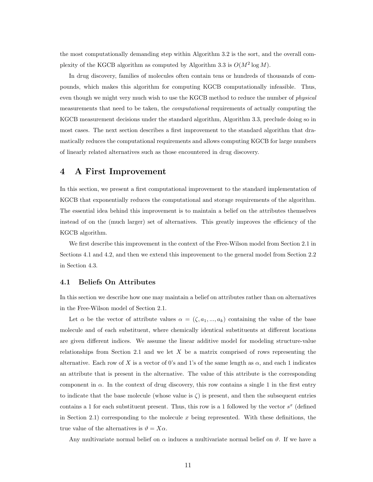the most computationally demanding step within Algorithm [3.2](#page-9-0) is the sort, and the overall com-plexity of the KGCB algorithm as computed by Algorithm [3.3](#page-9-2) is  $O(M^2 \log M)$ .

In drug discovery, families of molecules often contain tens or hundreds of thousands of compounds, which makes this algorithm for computing KGCB computationally infeasible. Thus, even though we might very much wish to use the KGCB method to reduce the number of physical measurements that need to be taken, the *computational* requirements of actually computing the KGCB measurement decisions under the standard algorithm, Algorithm [3.3,](#page-9-2) preclude doing so in most cases. The next section describes a first improvement to the standard algorithm that dramatically reduces the computational requirements and allows computing KGCB for large numbers of linearly related alternatives such as those encountered in drug discovery.

### <span id="page-10-0"></span>4 A First Improvement

In this section, we present a first computational improvement to the standard implementation of KGCB that exponentially reduces the computational and storage requirements of the algorithm. The essential idea behind this improvement is to maintain a belief on the attributes themselves instead of on the (much larger) set of alternatives. This greatly improves the efficiency of the KGCB algorithm.

We first describe this improvement in the context of the Free-Wilson model from Section [2.1](#page-5-0) in Sections [4.1](#page-10-1) and [4.2,](#page-12-0) and then we extend this improvement to the general model from Section [2.2](#page-6-0) in Section [4.3.](#page-13-0)

#### <span id="page-10-1"></span>4.1 Beliefs On Attributes

In this section we describe how one may maintain a belief on attributes rather than on alternatives in the Free-Wilson model of Section [2.1.](#page-5-0)

Let  $\alpha$  be the vector of attribute values  $\alpha = (\zeta, a_1, ..., a_k)$  containing the value of the base molecule and of each substituent, where chemically identical substituents at different locations are given different indices. We assume the linear additive model for modeling structure-value relationships from Section [2.1](#page-5-0) and we let  $X$  be a matrix comprised of rows representing the alternative. Each row of X is a vector of 0's and 1's of the same length as  $\alpha$ , and each 1 indicates an attribute that is present in the alternative. The value of this attribute is the corresponding component in  $\alpha$ . In the context of drug discovery, this row contains a single 1 in the first entry to indicate that the base molecule (whose value is  $\zeta$ ) is present, and then the subsequent entries contains a 1 for each substituent present. Thus, this row is a 1 followed by the vector  $s^x$  (defined in Section [2.1\)](#page-5-0) corresponding to the molecule  $x$  being represented. With these definitions, the true value of the alternatives is  $\vartheta = X\alpha$ .

Any multivariate normal belief on  $\alpha$  induces a multivariate normal belief on  $\vartheta$ . If we have a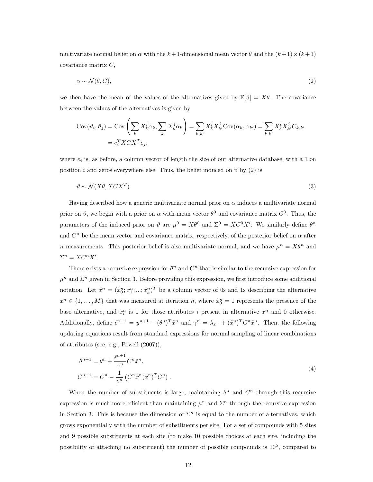multivariate normal belief on  $\alpha$  with the  $k+1$ -dimensional mean vector  $\theta$  and the  $(k+1)\times(k+1)$ covariance matrix C,

<span id="page-11-0"></span>
$$
\alpha \sim \mathcal{N}(\theta, C),\tag{2}
$$

we then have the mean of the values of the alternatives given by  $\mathbb{E}[\vartheta] = X\theta$ . The covariance between the values of the alternatives is given by

$$
Cov(\vartheta_i, \vartheta_j) = Cov\left(\sum_k X_k^i \alpha_k, \sum_k X_k^j \alpha_k\right) = \sum_{k,k'} X_k^i X_{k'}^j Cov(\alpha_k, \alpha_{k'}) = \sum_{k,k'} X_k^i X_{k'}^j C_{k,k'}
$$

$$
= e_i^T X C X^T e_j,
$$

where  $e_i$  is, as before, a column vector of length the size of our alternative database, with a 1 on position i and zeros everywhere else. Thus, the belief induced on  $\vartheta$  by [\(2\)](#page-11-0) is

$$
\vartheta \sim \mathcal{N}(X\theta, XCX^T). \tag{3}
$$

Having described how a generic multivariate normal prior on  $\alpha$  induces a multivariate normal prior on  $\vartheta$ , we begin with a prior on  $\alpha$  with mean vector  $\theta^0$  and covariance matrix  $C^0$ . Thus, the parameters of the induced prior on  $\vartheta$  are  $\mu^0 = X\theta^0$  and  $\Sigma^0 = X\mathcal{C}^0 X'$ . We similarly define  $\theta^n$ and  $C<sup>n</sup>$  be the mean vector and covariance matrix, respectively, of the posterior belief on  $\alpha$  after n measurements. This posterior belief is also multivariate normal, and we have  $\mu^n = X\theta^n$  and  $\Sigma^n = X C^n X'.$ 

There exists a recursive expression for  $\theta^n$  and  $C^n$  that is similar to the recursive expression for  $\mu^n$  and  $\Sigma^n$  given in Section [3.](#page-7-0) Before providing this expression, we first introduce some additional notation. Let  $\tilde{x}^n = (\tilde{x}_0^n; \tilde{x}_1^n; ...; \tilde{x}_k^n)^T$  be a column vector of 0s and 1s describing the alternative  $x^n \in \{1, ..., M\}$  that was measured at iteration n, where  $\tilde{x}_0^n = 1$  represents the presence of the base alternative, and  $\tilde{x}_i^n$  is 1 for those attributes i present in alternative  $x^n$  and 0 otherwise. Additionally, define  $\hat{\epsilon}^{n+1} = y^{n+1} - (\theta^n)^T \tilde{x}^n$  and  $\gamma^n = \lambda_{x^n} + (\tilde{x}^n)^T C^n \tilde{x}^n$ . Then, the following updating equations result from standard expressions for normal sampling of linear combinations of attributes (see, e.g., [Powell](#page-26-15) [\(2007\)](#page-26-15)),

<span id="page-11-1"></span>
$$
\theta^{n+1} = \theta^n + \frac{\hat{\epsilon}^{n+1}}{\gamma^n} C^n \tilde{x}^n,
$$
  
\n
$$
C^{n+1} = C^n - \frac{1}{\gamma^n} \left( C^n \tilde{x}^n (\tilde{x}^n)^T C^n \right).
$$
\n(4)

When the number of substituents is large, maintaining  $\theta^n$  and  $C^n$  through this recursive expression is much more efficient than maintaining  $\mu^n$  and  $\Sigma^n$  through the recursive expression in Section [3.](#page-7-0) This is because the dimension of  $\Sigma<sup>n</sup>$  is equal to the number of alternatives, which grows exponentially with the number of substituents per site. For a set of compounds with 5 sites and 9 possible substituents at each site (to make 10 possible choices at each site, including the possibility of attaching no substituent) the number of possible compounds is  $10<sup>5</sup>$ , compared to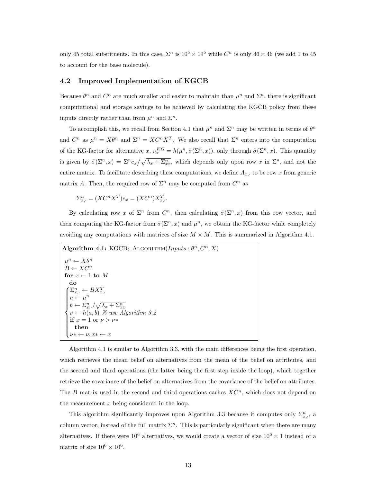only 45 total substituents. In this case,  $\Sigma^n$  is  $10^5 \times 10^5$  while  $C^n$  is only 46  $\times$  46 (we add 1 to 45 to account for the base molecule).

### <span id="page-12-0"></span>4.2 Improved Implementation of KGCB

Because  $\theta^n$  and  $C^n$  are much smaller and easier to maintain than  $\mu^n$  and  $\Sigma^n$ , there is significant computational and storage savings to be achieved by calculating the KGCB policy from these inputs directly rather than from  $\mu^n$  and  $\Sigma^n$ .

To accomplish this, we recall from Section [4.1](#page-10-1) that  $\mu^n$  and  $\Sigma^n$  may be written in terms of  $\theta^n$ and  $C^n$  as  $\mu^n = X\theta^n$  and  $\Sigma^n = X C^n X^T$ . We also recall that  $\Sigma^n$  enters into the computation of the KG-factor for alternative  $x, \nu_x^{KG} = h(\mu^n, \tilde{\sigma}(\Sigma^n, x))$ , only through  $\tilde{\sigma}(\Sigma^n, x)$ . This quantity is given by  $\tilde{\sigma}(\Sigma^n, x) = \Sigma^n e_x / \sqrt{\lambda_x + \Sigma^n_{xx}}$ , which depends only upon row x in  $\Sigma^n$ , and not the entire matrix. To facilitate describing these computations, we define  $A_{x,y}$  to be row x from generic matrix A. Then, the required row of  $\Sigma^n$  may be computed from  $C^n$  as

$$
\Sigma_{x,\cdot}^n = (XC^nX^T)e_x = (XC^n)X_{x,\cdot}^T
$$

By calculating row x of  $\Sigma^n$  from  $C^n$ , then calculating  $\tilde{\sigma}(\Sigma^n, x)$  from this row vector, and then computing the KG-factor from  $\tilde{\sigma}(\Sigma^n, x)$  and  $\mu^n$ , we obtain the KG-factor while completely avoiding any computations with matrices of size  $M \times M$ . This is summarized in Algorithm [4.1.](#page-12-1)

.

<span id="page-12-1"></span>Algorithm 4.1:  $KGCB_2$  ALGORITHM $(InputStream, C^n, X)$  $\mu^n \leftarrow X\theta^n$  $B \leftarrow XC^n$ for  $x \leftarrow 1$  to  $M$  $\sqrt{ }$ do  $\int$  $\overline{\mathcal{L}}$  $\Sigma_{x,\cdot}^n \leftarrow BX_{x,\cdot}^T$ <br>  $a \leftarrow \mu^n$  $b \leftarrow \sum_{x,\cdot}^{n} / \sqrt{\lambda_x + \sum_{xx}^{n}}$ <br>  $\nu \leftarrow h(a, b)$  % use Algorithm [3.2](#page-9-0) if  $x = 1$  or  $\nu > \nu^*$ then  $\nu^* \leftarrow \nu$ ,  $x^* \leftarrow x$ 

Algorithm [4.1](#page-12-1) is similar to Algorithm [3.3,](#page-9-2) with the main differences being the first operation, which retrieves the mean belief on alternatives from the mean of the belief on attributes, and the second and third operations (the latter being the first step inside the loop), which together retrieve the covariance of the belief on alternatives from the covariance of the belief on attributes. The B matrix used in the second and third operations caches  $XC<sup>n</sup>$ , which does not depend on the measurement x being considered in the loop.

This algorithm significantly improves upon Algorithm [3.3](#page-9-2) because it computes only  $\Sigma_{x,\cdot}^n$ , a column vector, instead of the full matrix  $\Sigma<sup>n</sup>$ . This is particularly significant when there are many alternatives. If there were  $10^6$  alternatives, we would create a vector of size  $10^6 \times 1$  instead of a matrix of size  $10^6 \times 10^6$ .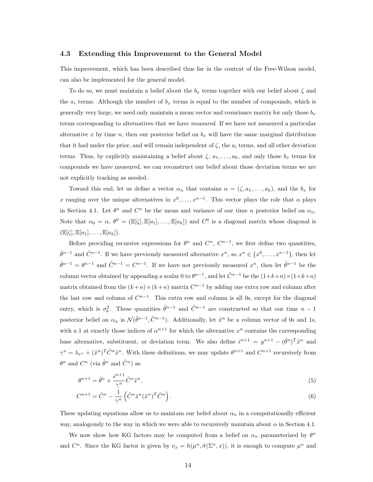### <span id="page-13-0"></span>4.3 Extending this Improvement to the General Model

This improvement, which has been described thus far in the context of the Free-Wilson model, can also be implemented for the general model.

To do so, we must maintain a belief about the  $b_x$  terms together with our belief about  $\zeta$  and the  $a_i$  terms. Although the number of  $b_x$  terms is equal to the number of compounds, which is generally very large, we need only maintain a mean vector and covariance matrix for only those  $b_x$ terms corresponding to alternatives that we have measured. If we have not measured a particular alternative x by time n, then our posterior belief on  $b_x$  will have the same marginal distribution that it had under the prior, and will remain independent of  $\zeta$ , the  $a_i$  terms, and all other deviation terms. Thus, by explicitly maintaining a belief about  $\zeta$ ,  $a_1, \ldots, a_k$ , and only those  $b_x$  terms for compounds we have measured, we can reconstruct our belief about those deviation terms we are not explicitly tracking as needed.

Toward this end, let us define a vector  $\alpha_n$  that contains  $\alpha = (\zeta, a_1, \ldots, a_k)$ , and the  $b_x$  for x ranging over the unique alternatives in  $x^0, \ldots, x^{n-1}$ . This vector plays the role that  $\alpha$  plays in Section [4.1.](#page-10-1) Let  $\theta^n$  and  $C^n$  be the mean and variance of our time n posterior belief on  $\alpha_n$ . Note that  $\alpha_0 = \alpha$ ,  $\theta^0 = (\mathbb{E}[\zeta], \mathbb{E}[a_1], \dots, \mathbb{E}[a_k])$  and  $C^0$  is a diagonal matrix whose diagonal is  $(\mathbb{E}[\zeta], \mathbb{E}[a_1], \ldots, \mathbb{E}[a_k]).$ 

Before providing recursive expressions for  $\theta^n$  and  $C^n$ ,  $C^{n-1}$ , we first define two quantities,  $\tilde{\theta}^{n-1}$  and  $\tilde{C}^{n-1}$ . If we have previously measured alternative  $x^n$ , so  $x^n \in \{x^0, \ldots, x^{n-1}\},$  then let  $\tilde{\theta}^{n-1} = \theta^{n-1}$  and  $\tilde{C}^{n-1} = C^{n-1}$ . If we have not previously measured  $x^n$ , then let  $\tilde{\theta}^{n-1}$  be the column vector obtained by appending a scalar 0 to  $\theta^{n-1}$ , and let  $\tilde{C}^{n-1}$  be the  $(1+k+n)\times(1+k+n)$ matrix obtained from the  $(k+n) \times (k+n)$  matrix  $C^{n-1}$  by adding one extra row and column after the last row and column of  $C^{n-1}$ . This extra row and column is all 0s, except for the diagonal entry, which is  $\sigma_b^2$ . These quantities  $\tilde{\theta}^{n-1}$  and  $\tilde{C}^{n-1}$  are constructed so that our time  $n-1$ posterior belief on  $\alpha_n$  is  $\mathcal{N}(\tilde{\theta}^{n-1}, \tilde{C}^{n-1})$ . Additionally, let  $\tilde{x}^n$  be a column vector of 0s and 1s, with a 1 at exactly those indices of  $\alpha^{n+1}$  for which the alternative  $x^n$  contains the corresponding base alternative, substituent, or deviation term. We also define  $\hat{\epsilon}^{n+1} = y^{n+1} - (\tilde{\theta}^n)^T \tilde{x}^n$  and  $\gamma^n = \lambda_{x^n} + (\tilde{x}^n)^T \tilde{C}^n \tilde{x}^n$ . With these definitions, we may update  $\theta^{n+1}$  and  $C^{n+1}$  recursively from  $\theta^n$  and  $C^n$  (via  $\tilde{\theta}^n$  and  $\tilde{C}^n$ ) as

$$
\theta^{n+1} = \tilde{\theta}^n + \frac{\tilde{\epsilon}^{n+1}}{\gamma^n} \tilde{C}^n \tilde{x}^n,\tag{5}
$$

$$
C^{n+1} = \tilde{C}^n - \frac{1}{\gamma^n} \left( \tilde{C}^n \tilde{x}^n (\tilde{x}^n)^T \tilde{C}^n \right).
$$
\n
$$
(6)
$$

These updating equations allow us to maintain our belief about  $\alpha_n$  in a computationally efficient way, analogously to the way in which we were able to recursively maintain about  $\alpha$  in Section [4.1.](#page-10-1)

We now show how KG factors may be computed from a belief on  $\alpha_n$  parameterized by  $\theta^n$ and  $C^n$ . Since the KG factor is given by  $\nu_x = h(\mu^n, \tilde{\sigma}(\Sigma^n, x))$ , it is enough to compute  $\mu^n$  and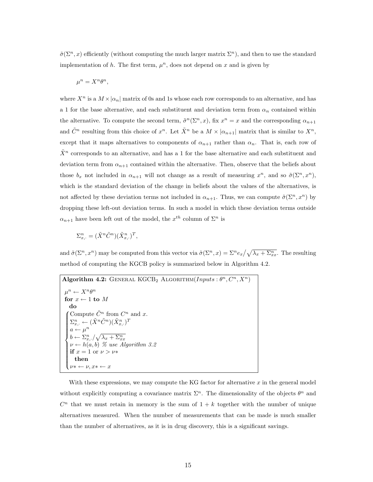$\tilde{\sigma}(\Sigma^n, x)$  efficiently (without computing the much larger matrix  $\Sigma^n$ ), and then to use the standard implementation of h. The first term,  $\mu^n$ , does not depend on x and is given by

$$
\mu^n = X^n \theta^n,
$$

where  $X^n$  is a  $M \times |\alpha_n|$  matrix of 0s and 1s whose each row corresponds to an alternative, and has a 1 for the base alternative, and each substituent and deviation term from  $\alpha_n$  contained within the alternative. To compute the second term,  $\tilde{\sigma}^n(\Sigma^n, x)$ , fix  $x^n = x$  and the corresponding  $\alpha_{n+1}$ and  $\tilde{C}^n$  resulting from this choice of  $x^n$ . Let  $\tilde{X}^n$  be a  $M \times |\alpha_{n+1}|$  matrix that is similar to  $X^n$ , except that it maps alternatives to components of  $\alpha_{n+1}$  rather than  $\alpha_n$ . That is, each row of  $\tilde{X}^n$  corresponds to an alternative, and has a 1 for the base alternative and each substituent and deviation term from  $\alpha_{n+1}$  contained within the alternative. Then, observe that the beliefs about those  $b_x$  not included in  $\alpha_{n+1}$  will not change as a result of measuring  $x^n$ , and so  $\tilde{\sigma}(\Sigma^n, x^n)$ , which is the standard deviation of the change in beliefs about the values of the alternatives, is not affected by these deviation terms not included in  $\alpha_{n+1}$ . Thus, we can compute  $\tilde{\sigma}(\Sigma^n, x^n)$  by dropping these left-out deviation terms. In such a model in which these deviation terms outside  $\alpha_{n+1}$  have been left out of the model, the  $x^{th}$  column of  $\Sigma^n$  is

 $\Sigma_{x,\cdot}^n = (\tilde{X}^n \tilde{C}^n)(\tilde{X}_{x,\cdot}^n)^T,$ 

and  $\tilde{\sigma}(\Sigma^n, x^n)$  may be computed from this vector via  $\tilde{\sigma}(\Sigma^n, x) = \Sigma^n e_x / \sqrt{\lambda_x + \Sigma^n_{xx}}$ . The resulting method of computing the KGCB policy is summarized below in Algorithm [4.2.](#page-14-0)

<span id="page-14-0"></span>Algorithm 4.2: GENERAL KGCB<sub>2</sub> ALGORITHM( $Inputs: \theta^n, C^n, X^n$ )  $\mu^n \leftarrow X^n \theta^n$ for  $x \leftarrow 1$  to M do  $\sqrt{ }$  $\begin{array}{c} \hline \end{array}$  Compute  $\tilde{C}^n$  from  $C^n$  and x.  $\Sigma^n_{x,\cdot} \leftarrow (\tilde{X}^n \tilde{C}^n)(\tilde{X}^n_{x,\cdot})^T$  $a \leftarrow \mu^n$  $b \leftarrow \sum_{x,\cdot}^{n} / \sqrt{\lambda_x + \sum_{xx}^{n}}$ <br>  $\nu \leftarrow h(a, b)$  % use Algorithm [3.2](#page-9-0) if  $x = 1$  or  $\nu > \nu^*$ then  $\nu^* \leftarrow \nu, x^* \leftarrow x$ 

With these expressions, we may compute the KG factor for alternative  $x$  in the general model without explicitly computing a covariance matrix  $\Sigma<sup>n</sup>$ . The dimensionality of the objects  $\theta<sup>n</sup>$  and  $C<sup>n</sup>$  that we must retain in memory is the sum of  $1 + k$  together with the number of unique alternatives measured. When the number of measurements that can be made is much smaller than the number of alternatives, as it is in drug discovery, this is a significant savings.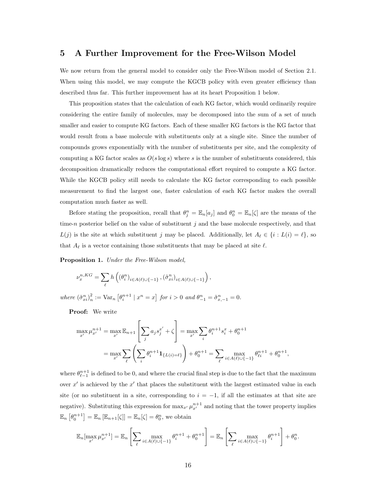### <span id="page-15-0"></span>5 A Further Improvement for the Free-Wilson Model

We now return from the general model to consider only the Free-Wilson model of Section [2.1.](#page-5-0) When using this model, we may compute the KGCB policy with even greater efficiency than described thus far. This further improvement has at its heart Proposition [1](#page-15-1) below.

This proposition states that the calculation of each KG factor, which would ordinarily require considering the entire family of molecules, may be decomposed into the sum of a set of much smaller and easier to compute KG factors. Each of these smaller KG factors is the KG factor that would result from a base molecule with substituents only at a single site. Since the number of compounds grows exponentially with the number of substituents per site, and the complexity of computing a KG factor scales as  $O(s \log s)$  where s is the number of substituents considered, this decomposition dramatically reduces the computational effort required to compute a KG factor. While the KGCB policy still needs to calculate the KG factor corresponding to each possible measurement to find the largest one, faster calculation of each KG factor makes the overall computation much faster as well.

Before stating the proposition, recall that  $\theta_j^n = \mathbb{E}_n[a_j]$  and  $\theta_0^n = \mathbb{E}_n[\zeta]$  are the means of the time-n posterior belief on the value of substituent  $j$  and the base molecule respectively, and that  $L(j)$  is the site at which substituent j may be placed. Additionally, let  $A_{\ell} \in \{i : L(i) = \ell\}$ , so that  $A_\ell$  is a vector containing those substituents that may be placed at site  $\ell$ .

<span id="page-15-1"></span>Proposition 1. Under the Free-Wilson model,

$$
\nu_x^{n,KG} = \sum_{\ell} h\left((\theta_i^n)_{i \in A(\ell) \cup \{-1\}}, (\tilde{\sigma}_{xi}^n)_{i \in A(\ell) \cup \{-1\}}\right),
$$

where  $(\tilde{\sigma}_{xi}^n)_n^2$  $n = \text{Var}_n \left[ \theta_i^{n+1} \mid x^n = x \right] \text{ for } i > 0 \text{ and } \theta_{-1}^n = \tilde{\sigma}_{x, -1}^n = 0.$ 

Proof: We write

$$
\max_{x'} \mu_{x'}^{n+1} = \max_{x'} \mathbb{E}_{n+1} \left[ \sum_{j} a_j s_j^{x'} + \zeta \right] = \max_{x'} \sum_{i} \theta_i^{n+1} s_i^x + \theta_0^{n+1}
$$

$$
= \max_{x'} \sum_{\ell} \left( \sum_{i} \theta_i^{n+1} \mathbf{1}_{\{L(i) = \ell\}} \right) + \theta_0^{n+1} = \sum_{\ell} \max_{i \in A(\ell) \cup \{-1\}} \theta_{\ell i}^{n+1} + \theta_0^{n+1},
$$

where  $\theta_{\ell-1}^{n+1}$  is defined to be 0, and where the crucial final step is due to the fact that the maximum over  $x'$  is achieved by the  $x'$  that places the substituent with the largest estimated value in each site (or no substituent in a site, corresponding to  $i = -1$ , if all the estimates at that site are negative). Substituting this expression for  $\max_{x'} \mu_{x'}^{n+1}$  and noting that the tower property implies  $\mathbb{E}_n \left[ \theta_0^{n+1} \right] = \mathbb{E}_n \left[ \mathbb{E}_{n+1}[\zeta] \right] = \mathbb{E}_n[\zeta] = \theta_0^n$ , we obtain

$$
\mathbb{E}_n[\max_{x'} \mu_{x'}^{n+1}] = \mathbb{E}_n \left[ \sum_{\ell} \max_{i \in A(\ell) \cup \{-1\}} \theta_i^{n+1} + \theta_0^{n+1} \right] = \mathbb{E}_n \left[ \sum_{\ell} \max_{i \in A(\ell) \cup \{-1\}} \theta_i^{n+1} \right] + \theta_0^n.
$$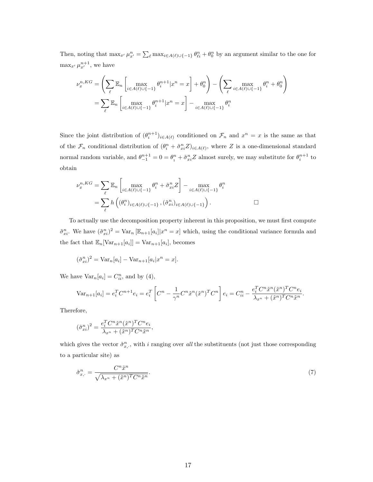Then, noting that  $\max_{x'} \mu_{x'}^n = \sum_{\ell} \max_{i \in A(\ell) \cup \{-1\}} \theta_{\ell i}^n + \theta_0^n$  by an argument similar to the one for  $\max_{x'} \mu_{x'}^{n+1}$ , we have

$$
\nu_x^{n,KG} = \left(\sum_{\ell} \mathbb{E}_n \left[\max_{i \in A(\ell) \cup \{-1\}} \theta_i^{n+1} | x^n = x\right] + \theta_0^n \right) - \left(\sum_{\ell} \max_{i \in A(\ell) \cup \{-1\}} \theta_i^n + \theta_0^n \right)
$$

$$
= \sum_{\ell} \mathbb{E}_n \left[\max_{i \in A(\ell) \cup \{-1\}} \theta_i^{n+1} | x^n = x\right] - \max_{i \in A(\ell) \cup \{-1\}} \theta_i^n
$$

Since the joint distribution of  $(\theta_i^{n+1})_{i\in A(\ell)}$  conditioned on  $\mathcal{F}_n$  and  $x^n = x$  is the same as that of the  $\mathcal{F}_n$  conditional distribution of  $(\theta_i^n + \tilde{\sigma}_{xi}^n Z)_{i \in A(\ell)}$ , where Z is a one-dimensional standard normal random variable, and  $\theta_{-1}^{n+1} = 0 = \theta_1^n + \tilde{\sigma}_{xi}^n Z$  almost surely, we may substitute for  $\theta_i^{n+1}$  to obtain

$$
\nu_x^{n,KG} = \sum_{\ell} \mathbb{E}_n \left[ \max_{i \in A(\ell) \cup \{-1\}} \theta_i^n + \tilde{\sigma}_{xi}^n Z \right] - \max_{i \in A(\ell) \cup \{-1\}} \theta_i^n
$$

$$
= \sum_{\ell} h\left( (\theta_i^n)_{i \in A(\ell) \cup \{-1\}}, (\tilde{\sigma}_{xi}^n)_{i \in A(\ell) \cup \{-1\}} \right).
$$

To actually use the decomposition property inherent in this proposition, we must first compute  $\tilde{\sigma}_{xi}^{n}$ . We have  $(\tilde{\sigma}_{xi}^{n})^2 = \text{Var}_{n} [\mathbb{E}_{n+1}[a_i]|x^n = x]$  which, using the conditional variance formula and the fact that  $\mathbb{E}_n[\text{Var}_{n+1}[a_i]] = \text{Var}_{n+1}[a_i]$ , becomes

$$
(\tilde{\sigma}_{xi}^n)^2 = \text{Var}_n[a_i] - \text{Var}_{n+1}[a_i|x^n = x].
$$

We have  $Var_n[a_i] = C_{ii}^n$ , and by [\(4\)](#page-11-1),

$$
\text{Var}_{n+1}[a_i] = e_i^T C^{n+1} e_i = e_i^T \left[ C^n - \frac{1}{\gamma^n} C^n \tilde{x}^n (\tilde{x}^n)^T C^n \right] e_i = C_{ii}^n - \frac{e_i^T C^n \tilde{x}^n (\tilde{x}^n)^T C^n e_i}{\lambda_{x^n} + (\tilde{x}^n)^T C^n \tilde{x}^n}.
$$

Therefore,

$$
(\tilde{\sigma}_{xi}^n)^2 = \frac{e_i^T C^n \tilde{x}^n (\tilde{x}^n)^T C^n e_i}{\lambda_{x^n} + (\tilde{x}^n)^T C^n \tilde{x}^n},
$$

which gives the vector  $\tilde{\sigma}_{x,\cdot}^n$ , with i ranging over all the substituents (not just those corresponding to a particular site) as

$$
\tilde{\sigma}_{x,+}^{n} = \frac{C^{n}\tilde{x}^{n}}{\sqrt{\lambda_{x^{n}} + (\tilde{x}^{n})^{T}C^{n}\tilde{x}^{n}}}.
$$
\n
$$
(7)
$$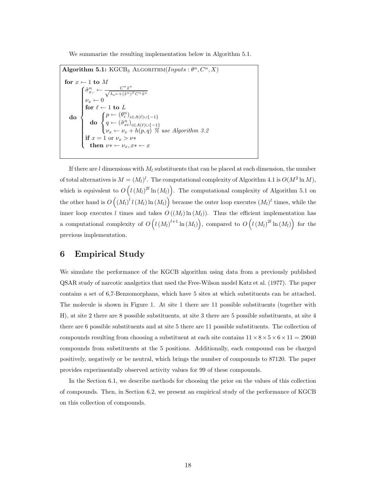We summarize the resulting implementation below in Algorithm [5.1.](#page-17-1)

<span id="page-17-1"></span>Algorithm 5.1: KGCB<sub>3</sub> ALGORITHM $(InputStream, C^n, X)$ for  $x \leftarrow 1$  to  $M$ do  $\sqrt{ }$  $\begin{array}{c} \hline \end{array}$  $\begin{array}{c} \end{array}$  $\tilde{\sigma}_{x,\cdot}^n \leftarrow \frac{C^n \tilde{x}^n}{\sqrt{\lambda_{x^n}+(\tilde{x}^n)^T C^n \tilde{x}^n}}$  $\nu_x \leftarrow 0$ for  $\ell \leftarrow 1$  to  $L$ do  $\left($ J  $\mathcal{L}$  $p \leftarrow (\theta_i^n)_{i \in A(\ell) \cup \{-1\}}$ <br>  $q \leftarrow (\tilde{\sigma}_{xi}^n)_{i \in A(\ell) \cup \{-1\}}$ <br>  $\nu_x \leftarrow \nu_x + h(p, q)$  % use Algorithm [3.2](#page-9-0) if  $x = 1$  or  $\nu_x > \nu^*$ then  $\nu^* \leftarrow \nu_x, x^* \leftarrow x$ 

If there are l dimensions with  $M_l$  substituents that can be placed at each dimension, the number of total alternatives is  $M = (M_l)^l$ . The computational complexity of Algorithm [4.1](#page-12-1) is  $O(M^2 \ln M)$ , which is equivalent to  $O\left(l\left(M_l\right)^{2l}\ln\left(M_l\right)\right)$ . The computational complexity of Algorithm [5.1](#page-17-1) on the other hand is  $O((M_l)^l l(M_l) \ln(M_l))$  because the outer loop executes  $(M_l)^l$  times, while the inner loop executes l times and takes  $O((M_l) \ln(M_l))$ . Thus the efficient implementation has a computational complexity of  $O(l(M_l)^{l+1}\ln(M_l))$ , compared to  $O(l(M_l)^{2l}\ln(M_l))$  for the previous implementation.

# <span id="page-17-0"></span>6 Empirical Study

We simulate the performance of the KGCB algorithm using data from a previously published QSAR study of narcotic analgetics that used the Free-Wilson model [Katz et al.](#page-26-16) [\(1977\)](#page-26-16). The paper contains a set of 6,7-Benzomorphans, which have 5 sites at which substituents can be attached. The molecule is shown in Figure [1.](#page-18-0) At site 1 there are 11 possible substituents (together with H), at site 2 there are 8 possible substituents, at site 3 there are 5 possible substituents, at site 4 there are 6 possible substituents and at site 5 there are 11 possible substituents. The collection of compounds resulting from choosing a substituent at each site contains  $11 \times 8 \times 5 \times 6 \times 11 = 29040$ compounds from substituents at the 5 positions. Additionally, each compound can be charged positively, negatively or be neutral, which brings the number of compounds to 87120. The paper provides experimentally observed activity values for 99 of these compounds.

In the Section [6.1,](#page-18-1) we describe methods for choosing the prior on the values of this collection of compounds. Then, in Section [6.2,](#page-20-0) we present an empirical study of the performance of KGCB on this collection of compounds.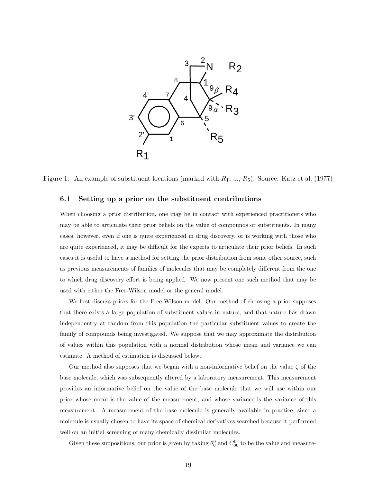

Figure 1: An example of substituent locations (marked with  $R_1, ..., R_5$ ). Source: [Katz et al.](#page-26-16) [\(1977\)](#page-26-16)

### <span id="page-18-1"></span><span id="page-18-0"></span>6.1 Setting up a prior on the substituent contributions

When choosing a prior distribution, one may be in contact with experienced practitioners who may be able to articulate their prior beliefs on the value of compounds or substituents. In many cases, however, even if one is quite experienced in drug discovery, or is working with those who are quite experienced, it may be difficult for the experts to articulate their prior beliefs. In such cases it is useful to have a method for setting the prior distribution from some other source, such as previous measurements of families of molecules that may be completely different from the one to which drug discovery effort is being applied. We now present one such method that may be used with either the Free-Wilson model or the general model.

We first discuss priors for the Free-Wilson model. Our method of choosing a prior supposes that there exists a large population of substituent values in nature, and that nature has drawn independently at random from this population the particular substituent values to create the family of compounds being investigated. We suppose that we may approximate the distribution of values within this population with a normal distribution whose mean and variance we can estimate. A method of estimation is discussed below.

Our method also supposes that we began with a non-informative belief on the value  $\zeta$  of the base molecule, which was subsequently altered by a laboratory measurement. This measurement provides an informative belief on the value of the base molecule that we will use within our prior whose mean is the value of the measurement, and whose variance is the variance of this measurement. A measurement of the base molecule is generally available in practice, since a molecule is usually chosen to have its space of chemical derivatives searched because it performed well on an initial screening of many chemically dissimilar molecules.

Given these suppositions, our prior is given by taking  $\theta_0^0$  and  $C_{00}^0$  to be the value and measure-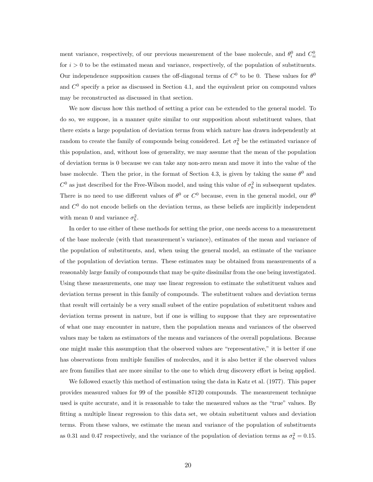ment variance, respectively, of our previous measurement of the base molecule, and  $\theta_i^0$  and  $C_{ii}^0$ for  $i > 0$  to be the estimated mean and variance, respectively, of the population of substituents. Our independence supposition causes the off-diagonal terms of  $C^0$  to be 0. These values for  $\theta^0$ and  $C<sup>0</sup>$  specify a prior as discussed in Section [4.1,](#page-10-1) and the equivalent prior on compound values may be reconstructed as discussed in that section.

We now discuss how this method of setting a prior can be extended to the general model. To do so, we suppose, in a manner quite similar to our supposition about substituent values, that there exists a large population of deviation terms from which nature has drawn independently at random to create the family of compounds being considered. Let  $\sigma_b^2$  be the estimated variance of this population, and, without loss of generality, we may assume that the mean of the population of deviation terms is 0 because we can take any non-zero mean and move it into the value of the base molecule. Then the prior, in the format of Section [4.3,](#page-13-0) is given by taking the same  $\theta^0$  and  $C^0$  as just described for the Free-Wilson model, and using this value of  $\sigma_b^2$  in subsequent updates. There is no need to use different values of  $\theta^0$  or  $C^0$  because, even in the general model, our  $\theta^0$ and  $C<sup>0</sup>$  do not encode beliefs on the deviation terms, as these beliefs are implicitly independent with mean 0 and variance  $\sigma_b^2$ .

In order to use either of these methods for setting the prior, one needs access to a measurement of the base molecule (with that measurement's variance), estimates of the mean and variance of the population of substituents, and, when using the general model, an estimate of the variance of the population of deviation terms. These estimates may be obtained from measurements of a reasonably large family of compounds that may be quite dissimilar from the one being investigated. Using these measurements, one may use linear regression to estimate the substituent values and deviation terms present in this family of compounds. The substituent values and deviation terms that result will certainly be a very small subset of the entire population of substituent values and deviation terms present in nature, but if one is willing to suppose that they are representative of what one may encounter in nature, then the population means and variances of the observed values may be taken as estimators of the means and variances of the overall populations. Because one might make this assumption that the observed values are "representative," it is better if one has observations from multiple families of molecules, and it is also better if the observed values are from families that are more similar to the one to which drug discovery effort is being applied.

We followed exactly this method of estimation using the data in [Katz et al.](#page-26-16) [\(1977\)](#page-26-16). This paper provides measured values for 99 of the possible 87120 compounds. The measurement technique used is quite accurate, and it is reasonable to take the measured values as the "true" values. By fitting a multiple linear regression to this data set, we obtain substituent values and deviation terms. From these values, we estimate the mean and variance of the population of substituents as 0.31 and 0.47 respectively, and the variance of the population of deviation terms as  $\sigma_b^2 = 0.15$ .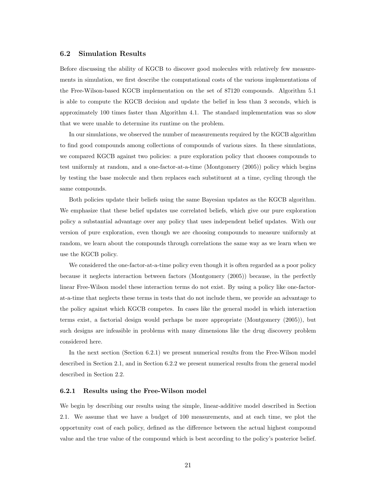### <span id="page-20-0"></span>6.2 Simulation Results

Before discussing the ability of KGCB to discover good molecules with relatively few measurements in simulation, we first describe the computational costs of the various implementations of the Free-Wilson-based KGCB implementation on the set of 87120 compounds. Algorithm [5.1](#page-17-1) is able to compute the KGCB decision and update the belief in less than 3 seconds, which is approximately 100 times faster than Algorithm [4.1.](#page-12-1) The standard implementation was so slow that we were unable to determine its runtime on the problem.

In our simulations, we observed the number of measurements required by the KGCB algorithm to find good compounds among collections of compounds of various sizes. In these simulations, we compared KGCB against two policies: a pure exploration policy that chooses compounds to test uniformly at random, and a one-factor-at-a-time [\(Montgomery](#page-26-17) [\(2005\)](#page-26-17)) policy which begins by testing the base molecule and then replaces each substituent at a time, cycling through the same compounds.

Both policies update their beliefs using the same Bayesian updates as the KGCB algorithm. We emphasize that these belief updates use correlated beliefs, which give our pure exploration policy a substantial advantage over any policy that uses independent belief updates. With our version of pure exploration, even though we are choosing compounds to measure uniformly at random, we learn about the compounds through correlations the same way as we learn when we use the KGCB policy.

We considered the one-factor-at-a-time policy even though it is often regarded as a poor policy because it neglects interaction between factors [\(Montgomery](#page-26-17) [\(2005\)](#page-26-17)) because, in the perfectly linear Free-Wilson model these interaction terms do not exist. By using a policy like one-factorat-a-time that neglects these terms in tests that do not include them, we provide an advantage to the policy against which KGCB competes. In cases like the general model in which interaction terms exist, a factorial design would perhaps be more appropriate [\(Montgomery](#page-26-17) [\(2005\)](#page-26-17)), but such designs are infeasible in problems with many dimensions like the drug discovery problem considered here.

In the next section (Section [6.2.1\)](#page-20-1) we present numerical results from the Free-Wilson model described in Section [2.1,](#page-5-0) and in Section [6.2.2](#page-23-0) we present numerical results from the general model described in Section [2.2.](#page-6-0)

### <span id="page-20-1"></span>6.2.1 Results using the Free-Wilson model

We begin by describing our results using the simple, linear-additive model described in Section [2.1.](#page-5-0) We assume that we have a budget of 100 measurements, and at each time, we plot the opportunity cost of each policy, defined as the difference between the actual highest compound value and the true value of the compound which is best according to the policy's posterior belief.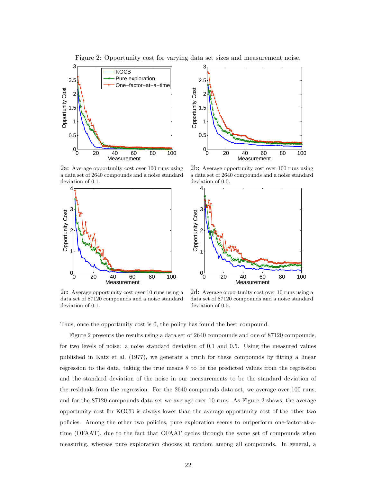

<span id="page-21-0"></span>Figure 2: Opportunity cost for varying data set sizes and measurement noise.

[2a](#page-21-0): Average opportunity cost over 100 runs using a data set of 2640 compounds and a noise standard deviation of 0.1.



[2c](#page-21-0): Average opportunity cost over 10 runs using a data set of 87120 compounds and a noise standard deviation of 0.1.



[2b](#page-21-0): Average opportunity cost over 100 runs using a data set of 2640 compounds and a noise standard deviation of 0.5.



[2d](#page-21-0): Average opportunity cost over 10 runs using a data set of 87120 compounds and a noise standard deviation of 0.5.

Thus, once the opportunity cost is 0, the policy has found the best compound.

Figure [2](#page-21-0) presents the results using a data set of 2640 compounds and one of 87120 compounds, for two levels of noise: a noise standard deviation of 0.1 and 0.5. Using the measured values published in [Katz et al.](#page-26-16) [\(1977\)](#page-26-16), we generate a truth for these compounds by fitting a linear regression to the data, taking the true means  $\theta$  to be the predicted values from the regression and the standard deviation of the noise in our measurements to be the standard deviation of the residuals from the regression. For the 2640 compounds data set, we average over 100 runs, and for the 87120 compounds data set we average over 10 runs. As Figure [2](#page-21-0) shows, the average opportunity cost for KGCB is always lower than the average opportunity cost of the other two policies. Among the other two policies, pure exploration seems to outperform one-factor-at-atime (OFAAT), due to the fact that OFAAT cycles through the same set of compounds when measuring, whereas pure exploration chooses at random among all compounds. In general, a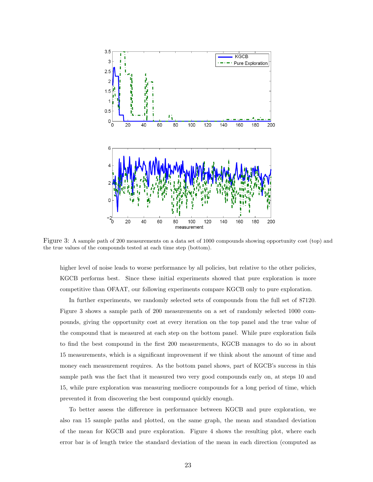

<span id="page-22-0"></span>Figure 3: A sample path of 200 measurements on a data set of 1000 compounds showing opportunity cost (top) and the true values of the compounds tested at each time step (bottom).

higher level of noise leads to worse performance by all policies, but relative to the other policies, KGCB performs best. Since these initial experiments showed that pure exploration is more competitive than OFAAT, our following experiments compare KGCB only to pure exploration.

In further experiments, we randomly selected sets of compounds from the full set of 87120. Figure [3](#page-22-0) shows a sample path of 200 measurements on a set of randomly selected 1000 compounds, giving the opportunity cost at every iteration on the top panel and the true value of the compound that is measured at each step on the bottom panel. While pure exploration fails to find the best compound in the first 200 measurements, KGCB manages to do so in about 15 measurements, which is a significant improvement if we think about the amount of time and money each measurement requires. As the bottom panel shows, part of KGCB's success in this sample path was the fact that it measured two very good compounds early on, at steps 10 and 15, while pure exploration was measuring mediocre compounds for a long period of time, which prevented it from discovering the best compound quickly enough.

To better assess the difference in performance between KGCB and pure exploration, we also ran 15 sample paths and plotted, on the same graph, the mean and standard deviation of the mean for KGCB and pure exploration. Figure [4](#page-23-1) shows the resulting plot, where each error bar is of length twice the standard deviation of the mean in each direction (computed as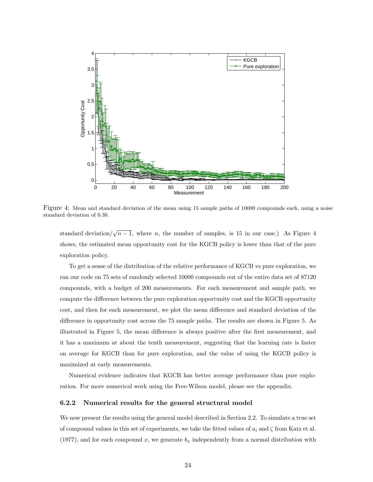

Figure 4: Mean and standard deviation of the mean using 15 sample paths of 10000 compounds each, using a noise standard deviation of 0.38.

<span id="page-23-1"></span>standard deviation/ $\sqrt{n-1}$ , where *n*, the number of samples, is 15 in our case.) As Figure [4](#page-23-1) shows, the estimated mean opportunity cost for the KGCB policy is lower than that of the pure exploration policy.

To get a sense of the distribution of the relative performance of KGCB vs pure exploration, we ran our code on 75 sets of randomly selected 10000 compounds out of the entire data set of 87120 compounds, with a budget of 200 measurements. For each measurement and sample path, we compute the difference between the pure exploration opportunity cost and the KGCB opportunity cost, and then for each measurement, we plot the mean difference and standard deviation of the difference in opportunity cost across the 75 sample paths. The results are shown in Figure [5.](#page-24-0) As illustrated in Figure [5,](#page-24-0) the mean difference is always positive after the first measurement, and it has a maximum at about the tenth measurement, suggesting that the learning rate is faster on average for KGCB than for pure exploration, and the value of using the KGCB policy is maximized at early measurements.

Numerical evidence indicates that KGCB has better average performance than pure exploration. For more numerical work using the Free-Wilson model, please see the appendix.

### <span id="page-23-0"></span>6.2.2 Numerical results for the general structural model

We now present the results using the general model described in Section [2.2.](#page-6-0) To simulate a true set of compound values in this set of experiments, we take the fitted values of  $a_i$  and  $\zeta$  from [Katz et al.](#page-26-16) [\(1977\)](#page-26-16), and for each compound x, we generate  $b_x$  independently from a normal distribution with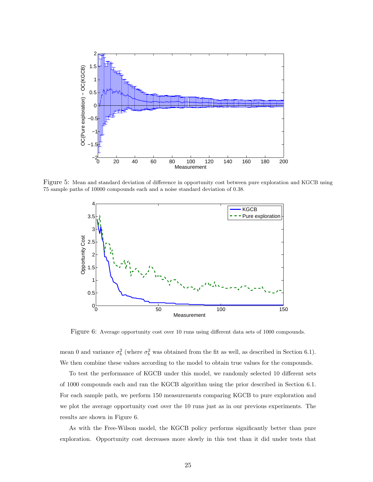

Figure 5: Mean and standard deviation of difference in opportunity cost between pure exploration and KGCB using 75 sample paths of 10000 compounds each and a noise standard deviation of 0.38.

<span id="page-24-0"></span>

<span id="page-24-1"></span>Figure 6: Average opportunity cost over 10 runs using different data sets of 1000 compounds.

mean 0 and variance  $\sigma_b^2$  (where  $\sigma_b^2$  was obtained from the fit as well, as described in Section [6.1\)](#page-18-1). We then combine these values according to the model to obtain true values for the compounds.

To test the performance of KGCB under this model, we randomly selected 10 different sets of 1000 compounds each and ran the KGCB algorithm using the prior described in Section [6.1.](#page-18-1) For each sample path, we perform 150 measurements comparing KGCB to pure exploration and we plot the average opportunity cost over the 10 runs just as in our previous experiments. The results are shown in Figure [6.](#page-24-1)

As with the Free-Wilson model, the KGCB policy performs significantly better than pure exploration. Opportunity cost decreases more slowly in this test than it did under tests that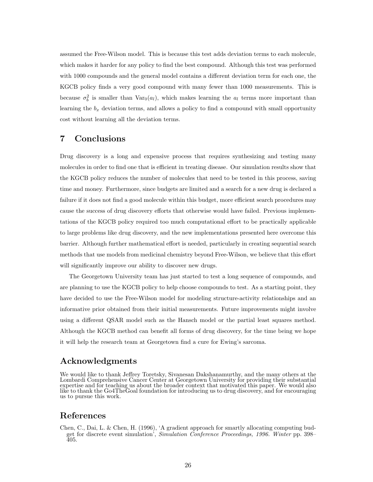assumed the Free-Wilson model. This is because this test adds deviation terms to each molecule, which makes it harder for any policy to find the best compound. Although this test was performed with 1000 compounds and the general model contains a different deviation term for each one, the KGCB policy finds a very good compound with many fewer than 1000 measurements. This is because  $\sigma_b^2$  is smaller than  $Var_0(a_l)$ , which makes learning the  $a_l$  terms more important than learning the  $b_x$  deviation terms, and allows a policy to find a compound with small opportunity cost without learning all the deviation terms.

# <span id="page-25-1"></span>7 Conclusions

Drug discovery is a long and expensive process that requires synthesizing and testing many molecules in order to find one that is efficient in treating disease. Our simulation results show that the KGCB policy reduces the number of molecules that need to be tested in this process, saving time and money. Furthermore, since budgets are limited and a search for a new drug is declared a failure if it does not find a good molecule within this budget, more efficient search procedures may cause the success of drug discovery efforts that otherwise would have failed. Previous implementations of the KGCB policy required too much computational effort to be practically applicable to large problems like drug discovery, and the new implementations presented here overcome this barrier. Although further mathematical effort is needed, particularly in creating sequential search methods that use models from medicinal chemistry beyond Free-Wilson, we believe that this effort will significantly improve our ability to discover new drugs.

The Georgetown University team has just started to test a long sequence of compounds, and are planning to use the KGCB policy to help choose compounds to test. As a starting point, they have decided to use the Free-Wilson model for modeling structure-activity relationships and an informative prior obtained from their initial measurements. Future improvements might involve using a different QSAR model such as the Hansch model or the partial least squares method. Although the KGCB method can benefit all forms of drug discovery, for the time being we hope it will help the research team at Georgetown find a cure for Ewing's sarcoma.

# Acknowledgments

We would like to thank Jeffrey Toretsky, Sivanesan Dakshanamurthy, and the many others at the Lombardi Comprehensive Cancer Center at Georgetown University for providing their substantial expertise and for teaching us about the broader context that motivated this paper. We would also like to thank the Go4TheGoal foundation for introducing us to drug discovery, and for encouraging us to pursue this work.

# References

<span id="page-25-0"></span>Chen, C., Dai, L. & Chen, H. (1996), 'A gradient approach for smartly allocating computing budget for discrete event simulation', Simulation Conference Proceedings, 1996. Winter pp. 398– 405.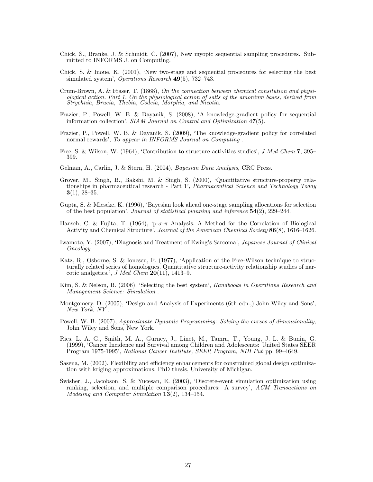- <span id="page-26-8"></span>Chick, S., Branke, J. & Schmidt, C. (2007), New myopic sequential sampling procedures. Submitted to INFORMS J. on Computing.
- <span id="page-26-5"></span>Chick, S. & Inoue, K. (2001), 'New two-stage and sequential procedures for selecting the best simulated system', Operations Research 49(5), 732–743.
- <span id="page-26-10"></span>Crum-Brown, A. & Fraser, T. (1868), On the connection between chemical consitution and physiological action. Part 1. On the physiological action of salts of the amonium bases, derived from Strychnia, Brucia, Thebia, Codeia, Morphia, and Nicotia.
- <span id="page-26-7"></span>Frazier, P., Powell, W. B. & Dayanik, S. (2008), 'A knowledge-gradient policy for sequential information collection', SIAM Journal on Control and Optimization 47(5).
- <span id="page-26-2"></span>Frazier, P., Powell, W. B. & Dayanik, S. (2009), 'The knowledge-gradient policy for correlated normal rewards', To appear in INFORMS Journal on Computing.
- <span id="page-26-11"></span>Free, S. & Wilson, W. (1964), 'Contribution to structure-activities studies', J Med Chem 7, 395– 399.
- <span id="page-26-14"></span>Gelman, A., Carlin, J. & Stern, H. (2004), Bayesian Data Analysis, CRC Press.
- <span id="page-26-13"></span>Grover, M., Singh, B., Bakshi, M. & Singh, S. (2000), 'Quantitative structure-property relationships in pharmaceutical research - Part 1', Pharmaceutical Science and Technology Today  $3(1), 28-35.$
- <span id="page-26-6"></span>Gupta, S. & Miescke, K. (1996), 'Bayesian look ahead one-stage sampling allocations for selection of the best population', Journal of statistical planning and inference  $54(2)$ ,  $229-244$ .
- <span id="page-26-12"></span>Hansch, C. & Fujita, T. (1964), 'p- $\sigma$ - $\pi$  Analysis. A Method for the Correlation of Biological Activity and Chemical Structure', Journal of the American Chemical Society 86(8), 1616–1626.
- <span id="page-26-0"></span>Iwamoto, Y. (2007), 'Diagnosis and Treatment of Ewing's Sarcoma', Japanese Journal of Clinical Oncology .
- <span id="page-26-16"></span>Katz, R., Osborne, S. & Ionescu, F. (1977), 'Application of the Free-Wilson technique to structurally related series of homologues. Quantitative structure-activity relationship studies of narcotic analgetics.', J Med Chem  $20(11)$ , 1413–9.
- <span id="page-26-4"></span>Kim, S. & Nelson, B. (2006), 'Selecting the best system', Handbooks in Operations Research and Management Science: Simulation .
- <span id="page-26-17"></span>Montgomery, D. (2005), 'Design and Analysis of Experiments (6th edn.,) John Wiley and Sons', New York, NY .
- <span id="page-26-15"></span>Powell, W. B. (2007), Approximate Dynamic Programming: Solving the curses of dimensionality, John Wiley and Sons, New York.
- <span id="page-26-1"></span>Ries, L. A. G., Smith, M. A., Gurney, J., Linet, M., Tamra, T., Young, J. L. & Bunin, G. (1999), 'Cancer Incidence and Survival among Children and Adolescents: United States SEER Program 1975-1995', National Cancer Institute, SEER Program, NIH Pub pp. 99–4649.
- <span id="page-26-9"></span>Sasena, M. (2002), Flexibility and efficiency enhancements for constrained global design optimization with kriging approximations, PhD thesis, University of Michigan.
- <span id="page-26-3"></span>Swisher, J., Jacobson, S. & Yucesan, E. (2003), 'Discrete-event simulation optimization using ranking, selection, and multiple comparison procedures: A survey', ACM Transactions on Modeling and Computer Simulation 13(2), 134–154.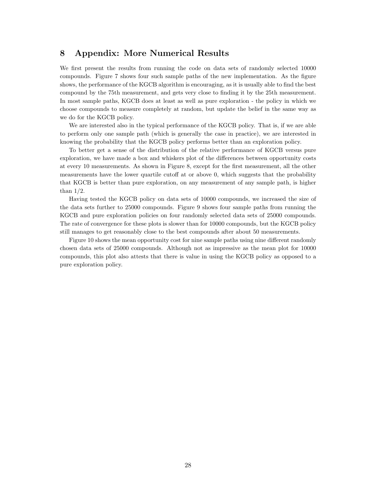# 8 Appendix: More Numerical Results

We first present the results from running the code on data sets of randomly selected 10000 compounds. Figure [7](#page-28-0) shows four such sample paths of the new implementation. As the figure shows, the performance of the KGCB algorithm is encouraging, as it is usually able to find the best compound by the 75th measurement, and gets very close to finding it by the 25th measurement. In most sample paths, KGCB does at least as well as pure exploration - the policy in which we choose compounds to measure completely at random, but update the belief in the same way as we do for the KGCB policy.

We are interested also in the typical performance of the KGCB policy. That is, if we are able to perform only one sample path (which is generally the case in practice), we are interested in knowing the probability that the KGCB policy performs better than an exploration policy.

To better get a sense of the distribution of the relative performance of KGCB versus pure exploration, we have made a box and whiskers plot of the differences between opportunity costs at every 10 measurements. As shown in Figure [8,](#page-28-1) except for the first measurement, all the other measurements have the lower quartile cutoff at or above 0, which suggests that the probability that KGCB is better than pure exploration, on any measurement of any sample path, is higher than  $1/2$ .

Having tested the KGCB policy on data sets of 10000 compounds, we increased the size of the data sets further to 25000 compounds. Figure [9](#page-29-0) shows four sample paths from running the KGCB and pure exploration policies on four randomly selected data sets of 25000 compounds. The rate of convergence for these plots is slower than for 10000 compounds, but the KGCB policy still manages to get reasonably close to the best compounds after about 50 measurements.

Figure [10](#page-29-1) shows the mean opportunity cost for nine sample paths using nine different randomly chosen data sets of 25000 compounds. Although not as impressive as the mean plot for 10000 compounds, this plot also attests that there is value in using the KGCB policy as opposed to a pure exploration policy.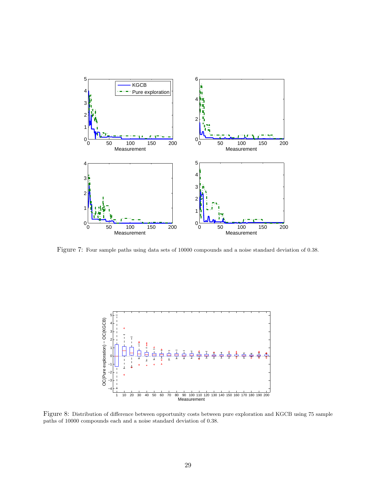

<span id="page-28-0"></span>Figure 7: Four sample paths using data sets of 10000 compounds and a noise standard deviation of 0.38.



<span id="page-28-1"></span>Figure 8: Distribution of difference between opportunity costs between pure exploration and KGCB using 75 sample paths of 10000 compounds each and a noise standard deviation of 0.38.